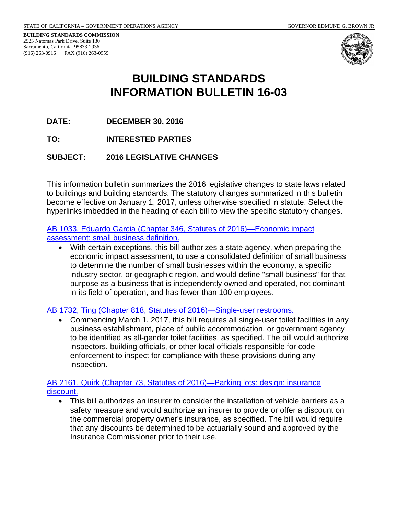**BUILDING STANDARDS COMMISSION** 2525 Natomas Park Drive, Suite 130 Sacramento, California 95833-2936 (916) 263-0916 FAX (916) 263-0959



# **BUILDING STANDARDS INFORMATION BULLETIN 16-03**

**DATE: DECEMBER 30, 2016**

**TO: INTERESTED PARTIES**

**SUBJECT: 2016 LEGISLATIVE CHANGES**

This information bulletin summarizes the 2016 legislative changes to state laws related to buildings and building standards. The statutory changes summarized in this bulletin become effective on January 1, 2017, unless otherwise specified in statute. Select the hyperlinks imbedded in the heading of each bill to view the specific statutory changes.

[AB 1033, Eduardo Garcia \(Chapter 346, Statutes of 2016\)—Economic impact](http://leginfo.legislature.ca.gov/faces/billNavClient.xhtml?bill_id=201520160AB1033)  [assessment: small business definition.](http://leginfo.legislature.ca.gov/faces/billNavClient.xhtml?bill_id=201520160AB1033)

• With certain exceptions, this bill authorizes a state agency, when preparing the economic impact assessment, to use a consolidated definition of small business to determine the number of small businesses within the economy, a specific industry sector, or geographic region, and would define "small business" for that purpose as a business that is independently owned and operated, not dominant in its field of operation, and has fewer than 100 employees.

#### [AB 1732, Ting \(Chapter 818, Statutes of 2016\)—Single-user restrooms.](http://leginfo.legislature.ca.gov/faces/billNavClient.xhtml?bill_id=201520160AB1732)

• Commencing March 1, 2017, this bill requires all single-user toilet facilities in any business establishment, place of public accommodation, or government agency to be identified as all-gender toilet facilities, as specified. The bill would authorize inspectors, building officials, or other local officials responsible for code enforcement to inspect for compliance with these provisions during any inspection.

[AB 2161, Quirk \(Chapter 73, Statutes of 2016\)—Parking lots: design: insurance](http://leginfo.legislature.ca.gov/faces/billNavClient.xhtml?bill_id=201520160AB2161)  [discount.](http://leginfo.legislature.ca.gov/faces/billNavClient.xhtml?bill_id=201520160AB2161)

• This bill authorizes an insurer to consider the installation of vehicle barriers as a safety measure and would authorize an insurer to provide or offer a discount on the commercial property owner's insurance, as specified. The bill would require that any discounts be determined to be actuarially sound and approved by the Insurance Commissioner prior to their use.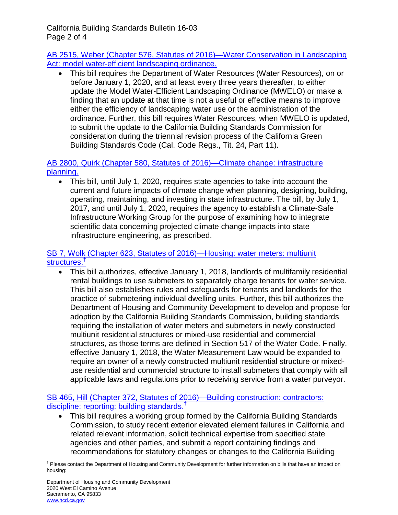California Building Standards Bulletin 16-03 Page 2 of 4

[AB 2515, Weber \(Chapter 576, Statutes of 2016\)—Water Conservation in Landscaping](http://leginfo.legislature.ca.gov/faces/billNavClient.xhtml?bill_id=201520160AB2515)  [Act: model water-efficient landscaping ordinance.](http://leginfo.legislature.ca.gov/faces/billNavClient.xhtml?bill_id=201520160AB2515)

• This bill requires the Department of Water Resources (Water Resources), on or before January 1, 2020, and at least every three years thereafter, to either update the Model Water-Efficient Landscaping Ordinance (MWELO) or make a finding that an update at that time is not a useful or effective means to improve either the efficiency of landscaping water use or the administration of the ordinance. Further, this bill requires Water Resources, when MWELO is updated, to submit the update to the California Building Standards Commission for consideration during the triennial revision process of the California Green Building Standards Code (Cal. Code Regs., Tit. 24, Part 11).

### [AB 2800, Quirk \(Chapter 580, Statutes of 2016\)—Climate change: infrastructure](http://leginfo.legislature.ca.gov/faces/billNavClient.xhtml?bill_id=201520160AB2800)  [planning.](http://leginfo.legislature.ca.gov/faces/billNavClient.xhtml?bill_id=201520160AB2800)

• This bill, until July 1, 2020, requires state agencies to take into account the current and future impacts of climate change when planning, designing, building, operating, maintaining, and investing in state infrastructure. The bill, by July 1, 2017, and until July 1, 2020, requires the agency to establish a Climate-Safe Infrastructure Working Group for the purpose of examining how to integrate scientific data concerning projected climate change impacts into state infrastructure engineering, as prescribed.

### [SB 7, Wolk \(Chapter 623, Statutes of 2016\)—Housing: water meters: multiunit](http://leginfo.legislature.ca.gov/faces/billNavClient.xhtml?bill_id=201520160SB7)  [structures.](http://leginfo.legislature.ca.gov/faces/billNavClient.xhtml?bill_id=201520160SB7)[†](#page-1-0)

• This bill authorizes, effective January 1, 2018, landlords of multifamily residential rental buildings to use submeters to separately charge tenants for water service. This bill also establishes rules and safeguards for tenants and landlords for the practice of submetering individual dwelling units. Further, this bill authorizes the Department of Housing and Community Development to develop and propose for adoption by the California Building Standards Commission, building standards requiring the installation of water meters and submeters in newly constructed multiunit residential structures or mixed-use residential and commercial structures, as those terms are defined in Section 517 of the Water Code. Finally, effective January 1, 2018, the Water Measurement Law would be expanded to require an owner of a newly constructed multiunit residential structure or mixeduse residential and commercial structure to install submeters that comply with all applicable laws and regulations prior to receiving service from a water purveyor.

### [SB 465, Hill \(Chapter 372, Statutes of 2016\)—Building construction: contractors:](http://leginfo.legislature.ca.gov/faces/billNavClient.xhtml?bill_id=201520160SB465)  [discipline: reporting: building standards.](http://leginfo.legislature.ca.gov/faces/billNavClient.xhtml?bill_id=201520160SB465)[†](#page-1-0)

• This bill requires a working group formed by the California Building Standards Commission, to study recent exterior elevated element failures in California and related relevant information, solicit technical expertise from specified state agencies and other parties, and submit a report containing findings and recommendations for statutory changes or changes to the California Building

<span id="page-1-0"></span><sup>†</sup> Please contact the Department of Housing and Community Development for further information on bills that have an impact on housing: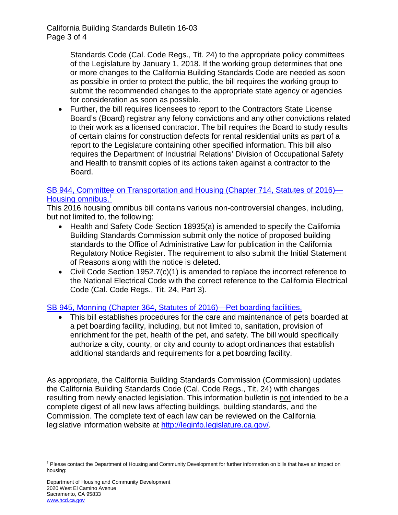California Building Standards Bulletin 16-03 Page 3 of 4

> Standards Code (Cal. Code Regs., Tit. 24) to the appropriate policy committees of the Legislature by January 1, 2018. If the working group determines that one or more changes to the California Building Standards Code are needed as soon as possible in order to protect the public, the bill requires the working group to submit the recommended changes to the appropriate state agency or agencies for consideration as soon as possible.

• Further, the bill requires licensees to report to the Contractors State License Board's (Board) registrar any felony convictions and any other convictions related to their work as a licensed contractor. The bill requires the Board to study results of certain claims for construction defects for rental residential units as part of a report to the Legislature containing other specified information. This bill also requires the Department of Industrial Relations' Division of Occupational Safety and Health to transmit copies of its actions taken against a contractor to the Board.

### [SB 944, Committee on Transportation and Housing \(Chapter 714, Statutes of 2016\)—](http://leginfo.legislature.ca.gov/faces/billNavClient.xhtml?bill_id=201520160SB944) [Housing omnibus.](http://leginfo.legislature.ca.gov/faces/billNavClient.xhtml?bill_id=201520160SB944)[†](#page-2-0)

This 2016 housing omnibus bill contains various non-controversial changes, including, but not limited to, the following:

- Health and Safety Code Section 18935(a) is amended to specify the California Building Standards Commission submit only the notice of proposed building standards to the Office of Administrative Law for publication in the California Regulatory Notice Register. The requirement to also submit the Initial Statement of Reasons along with the notice is deleted.
- Civil Code Section 1952.7(c)(1) is amended to replace the incorrect reference to the National Electrical Code with the correct reference to the California Electrical Code (Cal. Code Regs., Tit. 24, Part 3).

## [SB 945, Monning \(Chapter 364, Statutes of 2016\)—Pet boarding facilities.](http://leginfo.legislature.ca.gov/faces/billNavClient.xhtml?bill_id=201520160SB945)

• This bill establishes procedures for the care and maintenance of pets boarded at a pet boarding facility, including, but not limited to, sanitation, provision of enrichment for the pet, health of the pet, and safety. The bill would specifically authorize a city, county, or city and county to adopt ordinances that establish additional standards and requirements for a pet boarding facility.

As appropriate, the California Building Standards Commission (Commission) updates the California Building Standards Code (Cal. Code Regs., Tit. 24) with changes resulting from newly enacted legislation. This information bulletin is not intended to be a complete digest of all new laws affecting buildings, building standards, and the Commission. The complete text of each law can be reviewed on the California legislative information website at [http://leginfo.legislature.ca.gov/.](http://leginfo.legislature.ca.gov/)

<span id="page-2-0"></span><sup>&</sup>lt;sup>†</sup> Please contact the Department of Housing and Community Development for further information on bills that have an impact on housing: